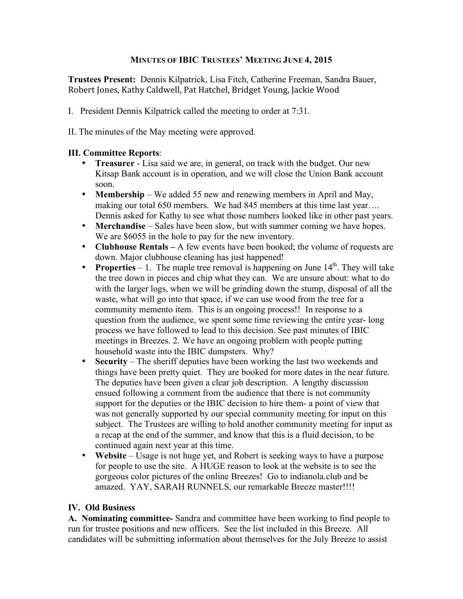## **MINUTES OF IBIC TRUSTEES' MEETING JUNE 4, 2015**

**Trustees Present:** Dennis Kilpatrick, Lisa Fitch, Catherine Freeman, Sandra Bauer, Robert
Jones,
Kathy
Caldwell,
Pat
Hatchel,
Bridget
Young,
Jackie
Wood

- I. President Dennis Kilpatrick called the meeting to order at 7:31.
- II. The minutes of the May meeting were approved.

## **III. Committee Reports**:

- **Treasurer** Lisa said we are, in general, on track with the budget. Our new Kitsap Bank account is in operation, and we will close the Union Bank account soon.
- **Membership** We added 55 new and renewing members in April and May, making our total 650 members. We had 845 members at this time last year…. Dennis asked for Kathy to see what those numbers looked like in other past years.
- **Merchandise** Sales have been slow, but with summer coming we have hopes. We are \$6055 in the hole to pay for the new inventory.
- **Clubhouse Rentals –** A few events have been booked; the volume of requests are down. Major clubhouse cleaning has just happened!
- **Properties**  $-1$ . The maple tree removal is happening on June  $14<sup>th</sup>$ . They will take the tree down in pieces and chip what they can. We are unsure about: what to do with the larger logs, when we will be grinding down the stump, disposal of all the waste, what will go into that space, if we can use wood from the tree for a community memento item. This is an ongoing process!! In response to a question from the audience, we spent some time reviewing the entire year- long process we have followed to lead to this decision. See past minutes of IBIC meetings in Breezes. 2. We have an ongoing problem with people putting household waste into the IBIC dumpsters. Why?
- **Security** The sheriff deputies have been working the last two weekends and things have been pretty quiet. They are booked for more dates in the near future. The deputies have been given a clear job description. A lengthy discussion ensued following a comment from the audience that there is not community support for the deputies or the IBIC decision to hire them- a point of view that was not generally supported by our special community meeting for input on this subject. The Trustees are willing to hold another community meeting for input as a recap at the end of the summer, and know that this is a fluid decision, to be continued again next year at this time.
- **Website** Usage is not huge yet, and Robert is seeking ways to have a purpose for people to use the site. A HUGE reason to look at the website is to see the gorgeous color pictures of the online Breezes! Go to indianola.club and be amazed. YAY, SARAH RUNNELS, our remarkable Breeze master!!!!

## **IV. Old Business**

**A. Nominating committee-** Sandra and committee have been working to find people to run for trustee positions and new officers. See the list included in this Breeze. All candidates will be submitting information about themselves for the July Breeze to assist